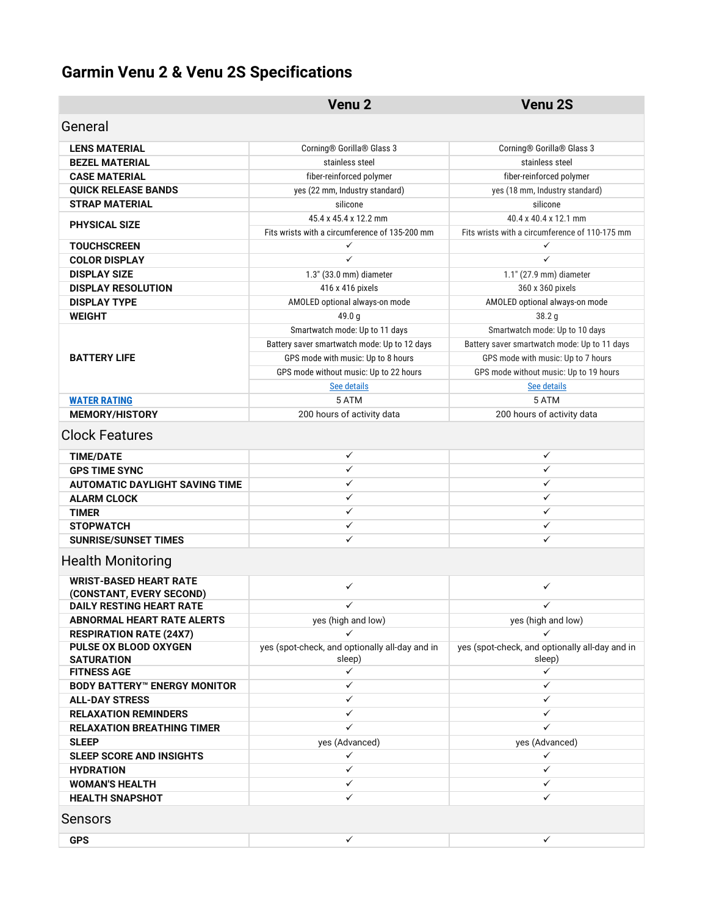## **Garmin Venu 2 & Venu 2S Specifications**

|                                                           | Venu <sub>2</sub>                                        | Venu <sub>2S</sub>                                       |
|-----------------------------------------------------------|----------------------------------------------------------|----------------------------------------------------------|
| General                                                   |                                                          |                                                          |
| <b>LENS MATERIAL</b>                                      | Corning® Gorilla® Glass 3                                | Corning® Gorilla® Glass 3                                |
| <b>BEZEL MATERIAL</b>                                     | stainless steel                                          | stainless steel                                          |
| <b>CASE MATERIAL</b>                                      | fiber-reinforced polymer                                 | fiber-reinforced polymer                                 |
| <b>QUICK RELEASE BANDS</b>                                | yes (22 mm, Industry standard)                           | yes (18 mm, Industry standard)                           |
| <b>STRAP MATERIAL</b>                                     | silicone                                                 | silicone                                                 |
| <b>PHYSICAL SIZE</b>                                      | 45.4 x 45.4 x 12.2 mm                                    | 40.4 x 40.4 x 12.1 mm                                    |
|                                                           | Fits wrists with a circumference of 135-200 mm           | Fits wrists with a circumference of 110-175 mm           |
| <b>TOUCHSCREEN</b>                                        | ✓                                                        | ✓                                                        |
| <b>COLOR DISPLAY</b>                                      | $\checkmark$                                             | ✓                                                        |
| <b>DISPLAY SIZE</b>                                       | 1.3" (33.0 mm) diameter                                  | 1.1" (27.9 mm) diameter                                  |
| <b>DISPLAY RESOLUTION</b>                                 | 416 x 416 pixels                                         | 360 x 360 pixels                                         |
| <b>DISPLAY TYPE</b>                                       | AMOLED optional always-on mode                           | AMOLED optional always-on mode                           |
| <b>WEIGHT</b>                                             | 49.0 g                                                   | 38.2 <sub>g</sub>                                        |
|                                                           | Smartwatch mode: Up to 11 days                           | Smartwatch mode: Up to 10 days                           |
|                                                           | Battery saver smartwatch mode: Up to 12 days             | Battery saver smartwatch mode: Up to 11 days             |
| <b>BATTERY LIFE</b>                                       | GPS mode with music: Up to 8 hours                       | GPS mode with music: Up to 7 hours                       |
|                                                           | GPS mode without music: Up to 22 hours                   | GPS mode without music: Up to 19 hours                   |
|                                                           | See details                                              | See details                                              |
| <b>WATER RATING</b>                                       | 5 ATM                                                    | 5 ATM                                                    |
| <b>MEMORY/HISTORY</b>                                     | 200 hours of activity data                               | 200 hours of activity data                               |
| <b>Clock Features</b>                                     |                                                          |                                                          |
| <b>TIME/DATE</b>                                          | ✓                                                        | ✓                                                        |
| <b>GPS TIME SYNC</b>                                      | $\checkmark$                                             | ✓                                                        |
| <b>AUTOMATIC DAYLIGHT SAVING TIME</b>                     | $\checkmark$                                             | ✓                                                        |
| <b>ALARM CLOCK</b>                                        | ✓                                                        | ✓                                                        |
| <b>TIMER</b>                                              | $\checkmark$                                             | ✓                                                        |
| <b>STOPWATCH</b>                                          | ✓                                                        | ✓                                                        |
| <b>SUNRISE/SUNSET TIMES</b>                               | ✓                                                        | ✓                                                        |
| <b>Health Monitoring</b>                                  |                                                          |                                                          |
| <b>WRIST-BASED HEART RATE</b><br>(CONSTANT, EVERY SECOND) | ✓                                                        | ✓                                                        |
| <b>DAILY RESTING HEART RATE</b>                           | $\checkmark$                                             | ✓                                                        |
| <b>ABNORMAL HEART RATE ALERTS</b>                         | yes (high and low)                                       | yes (high and low)                                       |
| <b>RESPIRATION RATE (24X7)</b>                            |                                                          |                                                          |
| PULSE OX BLOOD OXYGEN<br><b>SATURATION</b>                | yes (spot-check, and optionally all-day and in<br>sleep) | yes (spot-check, and optionally all-day and in<br>sleep) |
| <b>FITNESS AGE</b>                                        | ✓                                                        | ✓                                                        |
| <b>BODY BATTERY</b> <sup>**</sup> ENERGY MONITOR          | ✓                                                        | ✓                                                        |
| <b>ALL-DAY STRESS</b>                                     | ✓                                                        | ✓                                                        |
| <b>RELAXATION REMINDERS</b>                               | ✓                                                        | ✓                                                        |
| <b>RELAXATION BREATHING TIMER</b>                         | ✓                                                        | $\checkmark$                                             |
| <b>SLEEP</b>                                              | yes (Advanced)                                           | yes (Advanced)                                           |
| <b>SLEEP SCORE AND INSIGHTS</b>                           | ✓                                                        | ✓                                                        |
| <b>HYDRATION</b>                                          | ✓                                                        | ✓                                                        |
| <b>WOMAN'S HEALTH</b>                                     | ✓                                                        | ✓                                                        |
| <b>HEALTH SNAPSHOT</b>                                    | ✓                                                        | ✓                                                        |
| Sensors                                                   |                                                          |                                                          |
| <b>GPS</b>                                                | ✓                                                        | ✓                                                        |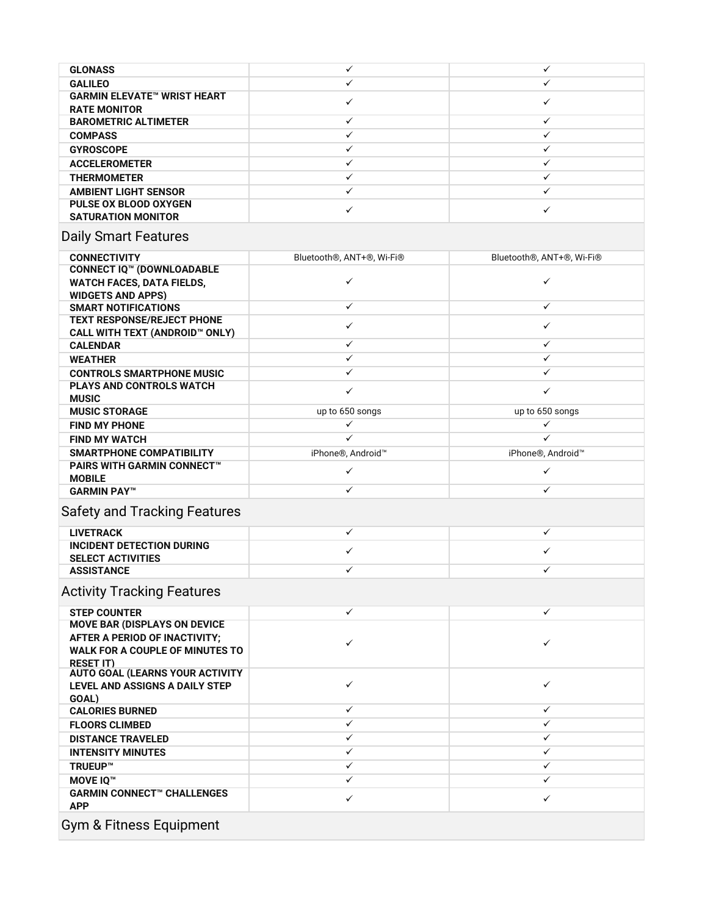| <b>GLONASS</b>                                            |  |
|-----------------------------------------------------------|--|
| <b>GALILEO</b>                                            |  |
| <b>GARMIN ELEVATE™ WRIST HEART</b><br><b>RATE MONITOR</b> |  |
| <b>BAROMETRIC ALTIMETER</b>                               |  |
| <b>COMPASS</b>                                            |  |
| <b>GYROSCOPE</b>                                          |  |
| <b>ACCELEROMETER</b>                                      |  |
| <b>THERMOMETER</b>                                        |  |
| <b>AMBIENT LIGHT SENSOR</b>                               |  |
| <b>PULSE OX BLOOD OXYGEN</b><br><b>SATURATION MONITOR</b> |  |

## Daily Smart Features

| <b>CONNECTIVITY</b>                                                                                                                | Bluetooth <sup>®</sup> , ANT+ <sup>®</sup> , Wi-Fi <sup>®</sup> | Bluetooth <sup>®</sup> , ANT+ <sup>®</sup> , Wi-Fi <sup>®</sup> |
|------------------------------------------------------------------------------------------------------------------------------------|-----------------------------------------------------------------|-----------------------------------------------------------------|
| <b>CONNECT IQ™ (DOWNLOADABLE</b><br><b>WATCH FACES, DATA FIELDS,</b>                                                               | $\checkmark$                                                    | $\checkmark$                                                    |
| <b>WIDGETS AND APPS)</b><br><b>SMART NOTIFICATIONS</b>                                                                             | $\checkmark$                                                    | $\checkmark$                                                    |
| <b>TEXT RESPONSE/REJECT PHONE</b>                                                                                                  |                                                                 |                                                                 |
| CALL WITH TEXT (ANDROID™ ONLY)                                                                                                     | $\checkmark$                                                    | $\checkmark$                                                    |
| <b>CALENDAR</b>                                                                                                                    | $\checkmark$                                                    | ✓                                                               |
| <b>WEATHER</b>                                                                                                                     | ✓                                                               | ✓                                                               |
| <b>CONTROLS SMARTPHONE MUSIC</b>                                                                                                   | ✓                                                               | ✓                                                               |
| <b>PLAYS AND CONTROLS WATCH</b><br><b>MUSIC</b>                                                                                    | $\checkmark$                                                    | $\checkmark$                                                    |
| <b>MUSIC STORAGE</b>                                                                                                               | up to 650 songs                                                 | up to 650 songs                                                 |
| <b>FIND MY PHONE</b>                                                                                                               | ✓                                                               | $\checkmark$                                                    |
| <b>FIND MY WATCH</b>                                                                                                               | ✓                                                               | ✓                                                               |
| <b>SMARTPHONE COMPATIBILITY</b>                                                                                                    | iPhone®, Android™                                               | iPhone®, Android™                                               |
| <b>PAIRS WITH GARMIN CONNECT™</b><br><b>MOBILE</b>                                                                                 | $\checkmark$                                                    | $\checkmark$                                                    |
| <b>GARMIN PAY™</b>                                                                                                                 | $\checkmark$                                                    | $\checkmark$                                                    |
| <b>Safety and Tracking Features</b>                                                                                                |                                                                 |                                                                 |
| <b>LIVETRACK</b>                                                                                                                   | $\checkmark$                                                    | $\checkmark$                                                    |
| <b>INCIDENT DETECTION DURING</b><br><b>SELECT ACTIVITIES</b>                                                                       | $\checkmark$                                                    | $\checkmark$                                                    |
| <b>ASSISTANCE</b>                                                                                                                  | ✓                                                               | $\checkmark$                                                    |
| <b>Activity Tracking Features</b>                                                                                                  |                                                                 |                                                                 |
| <b>STEP COUNTER</b>                                                                                                                | $\checkmark$                                                    | $\checkmark$                                                    |
| <b>MOVE BAR (DISPLAYS ON DEVICE</b><br>AFTER A PERIOD OF INACTIVITY;<br><b>WALK FOR A COUPLE OF MINUTES TO</b><br><b>RESET IT)</b> | $\checkmark$                                                    | $\checkmark$                                                    |
| <b>AUTO GOAL (LEARNS YOUR ACTIVITY</b><br>LEVEL AND ASSIGNS A DAILY STEP<br>GOAL)                                                  | $\checkmark$                                                    | $\checkmark$                                                    |
| <b>CALORIES BURNED</b>                                                                                                             | $\checkmark$                                                    | $\checkmark$                                                    |
| <b>FLOORS CLIMBED</b>                                                                                                              | $\checkmark$                                                    | $\checkmark$                                                    |
| <b>DISTANCE TRAVELED</b>                                                                                                           | $\checkmark$                                                    | $\checkmark$                                                    |
| <b>INTENSITY MINUTES</b>                                                                                                           | $\checkmark$                                                    | $\checkmark$                                                    |
| <b>TRUEUP™</b>                                                                                                                     | $\checkmark$                                                    | $\checkmark$                                                    |
| <b>MOVE IO™</b>                                                                                                                    | $\checkmark$                                                    | $\checkmark$                                                    |
| <b>GARMIN CONNECT™ CHALLENGES</b><br><b>APP</b>                                                                                    | $\checkmark$                                                    | $\checkmark$                                                    |
| <b>Gym &amp; Fitness Equipment</b>                                                                                                 |                                                                 |                                                                 |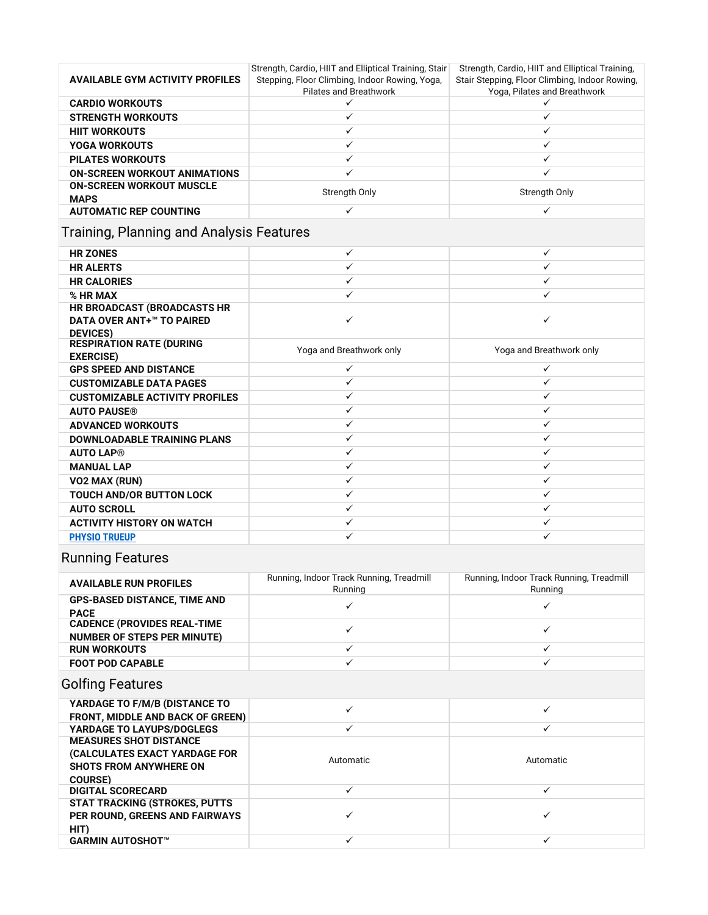| <b>AVAILABLE GYM ACTIVITY PROFILES</b>                                             | Strength, Cardio, HIIT and Elliptical Training, Stair<br>Stepping, Floor Climbing, Indoor Rowing, Yoga,<br>Pilates and Breathwork | Strength, Cardio, HIIT and Elliptical Training,<br>Stair Stepping, Floor Climbing, Indoor Rowing,<br>Yoga, Pilates and Breathwork |
|------------------------------------------------------------------------------------|-----------------------------------------------------------------------------------------------------------------------------------|-----------------------------------------------------------------------------------------------------------------------------------|
| <b>CARDIO WORKOUTS</b>                                                             | ✓                                                                                                                                 | ✓                                                                                                                                 |
| <b>STRENGTH WORKOUTS</b>                                                           | $\checkmark$                                                                                                                      | $\checkmark$                                                                                                                      |
| <b>HIIT WORKOUTS</b>                                                               | $\checkmark$                                                                                                                      | $\checkmark$                                                                                                                      |
| <b>YOGA WORKOUTS</b>                                                               | $\checkmark$                                                                                                                      | $\checkmark$                                                                                                                      |
| <b>PILATES WORKOUTS</b>                                                            | $\checkmark$                                                                                                                      | $\checkmark$                                                                                                                      |
| <b>ON-SCREEN WORKOUT ANIMATIONS</b>                                                | $\checkmark$                                                                                                                      | ✓                                                                                                                                 |
| <b>ON-SCREEN WORKOUT MUSCLE</b><br><b>MAPS</b>                                     | Strength Only                                                                                                                     | Strength Only                                                                                                                     |
| <b>AUTOMATIC REP COUNTING</b>                                                      | $\checkmark$                                                                                                                      | $\checkmark$                                                                                                                      |
| Training, Planning and Analysis Features                                           |                                                                                                                                   |                                                                                                                                   |
| <b>HR ZONES</b>                                                                    | ✓                                                                                                                                 | $\checkmark$                                                                                                                      |
| <b>HR ALERTS</b>                                                                   | $\checkmark$                                                                                                                      | $\checkmark$                                                                                                                      |
| <b>HR CALORIES</b>                                                                 | $\checkmark$                                                                                                                      | $\checkmark$                                                                                                                      |
| % HR MAX                                                                           | $\checkmark$                                                                                                                      | ✓                                                                                                                                 |
| HR BROADCAST (BROADCASTS HR<br><b>DATA OVER ANT+™ TO PAIRED</b><br><b>DEVICES)</b> | $\checkmark$                                                                                                                      | $\checkmark$                                                                                                                      |
| <b>RESPIRATION RATE (DURING</b><br><b>EXERCISE)</b>                                | Yoga and Breathwork only                                                                                                          | Yoga and Breathwork only                                                                                                          |
| <b>GPS SPEED AND DISTANCE</b>                                                      | $\checkmark$                                                                                                                      | $\checkmark$                                                                                                                      |
| <b>CUSTOMIZABLE DATA PAGES</b>                                                     | $\checkmark$                                                                                                                      | $\checkmark$                                                                                                                      |
| <b>CUSTOMIZABLE ACTIVITY PROFILES</b>                                              | $\checkmark$                                                                                                                      | $\checkmark$                                                                                                                      |
| <b>AUTO PAUSE®</b>                                                                 | ✓                                                                                                                                 | ✓                                                                                                                                 |
| <b>ADVANCED WORKOUTS</b>                                                           | $\checkmark$                                                                                                                      | ✓                                                                                                                                 |
| <b>DOWNLOADABLE TRAINING PLANS</b>                                                 | $\checkmark$                                                                                                                      | $\checkmark$                                                                                                                      |
| <b>AUTO LAP®</b>                                                                   | $\checkmark$                                                                                                                      | $\checkmark$                                                                                                                      |
| <b>MANUAL LAP</b>                                                                  | $\checkmark$                                                                                                                      | $\checkmark$                                                                                                                      |
| VO2 MAX (RUN)                                                                      | $\checkmark$                                                                                                                      | $\checkmark$                                                                                                                      |
| <b>TOUCH AND/OR BUTTON LOCK</b>                                                    | $\checkmark$                                                                                                                      | ✓                                                                                                                                 |
| <b>AUTO SCROLL</b>                                                                 | $\checkmark$                                                                                                                      | $\checkmark$                                                                                                                      |
| <b>ACTIVITY HISTORY ON WATCH</b>                                                   | $\checkmark$                                                                                                                      | $\checkmark$                                                                                                                      |
| <b>PHYSIO TRUEUP</b>                                                               | ✓                                                                                                                                 | $\checkmark$                                                                                                                      |
| <b>Running Features</b>                                                            |                                                                                                                                   |                                                                                                                                   |

| <b>AVAILABLE RUN PROFILES</b>                                            | Running, Indoor Track Running, Treadmill<br>Running | Running, Indoor Track Running, Treadmill<br>Running |
|--------------------------------------------------------------------------|-----------------------------------------------------|-----------------------------------------------------|
| <b>GPS-BASED DISTANCE, TIME AND</b><br><b>PACE</b>                       |                                                     |                                                     |
| <b>CADENCE (PROVIDES REAL-TIME</b><br><b>NUMBER OF STEPS PER MINUTE)</b> |                                                     |                                                     |
| <b>RUN WORKOUTS</b>                                                      |                                                     |                                                     |
| <b>FOOT POD CAPABLE</b>                                                  |                                                     |                                                     |
| $C_2$                                                                    |                                                     |                                                     |

## Golfing Features

| YARDAGE TO F/M/B (DISTANCE TO<br><b>FRONT, MIDDLE AND BACK OF GREEN)</b>                                           |           |           |
|--------------------------------------------------------------------------------------------------------------------|-----------|-----------|
| <b>YARDAGE TO LAYUPS/DOGLEGS</b>                                                                                   |           |           |
| <b>MEASURES SHOT DISTANCE</b><br>(CALCULATES EXACT YARDAGE FOR<br><b>SHOTS FROM ANYWHERE ON</b><br><b>COURSE</b> ) | Automatic | Automatic |
| <b>DIGITAL SCORECARD</b>                                                                                           |           |           |
| <b>STAT TRACKING (STROKES, PUTTS)</b><br><b>PER ROUND, GREENS AND FAIRWAYS</b><br>HIT)                             |           |           |
| <b>GARMIN AUTOSHOT™</b>                                                                                            |           |           |